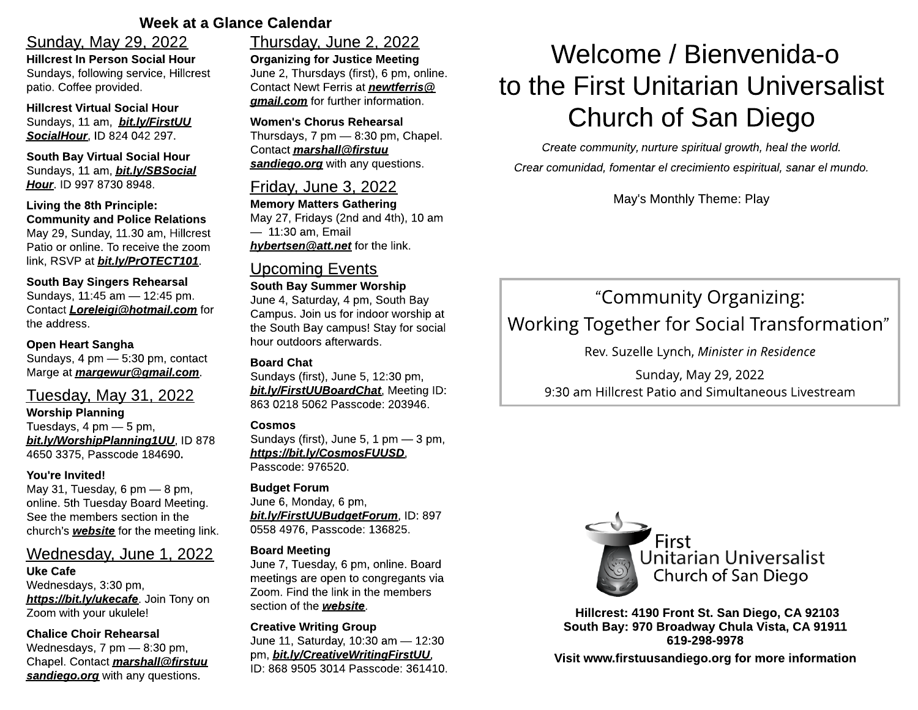# Week at a Glance Calendar

# Sunday, May 29, 2022

Hillcrest In Person Social Hour Sundays, following service, Hillcrest patio. Coffee provided.

Hillcrest Virtual Social Hour Sundays, 11 am, **[bit.ly/FirstUU](https://bit.ly/FirstUUSocialHour) [SocialHour](https://bit.ly/FirstUUSocialHour)**, ID 824 042 297.

South Bay Virtual Social Hour Sundays, 11 am, **[bit.ly/SBSocial](http://bit.ly/SBSocialHour) [Hour](http://bit.ly/SBSocialHour)**. ID 997 8730 8948.

#### Living the 8th Principle: Community and Police Relations May 29, Sunday, 11.30 am, Hillcrest Patio or online. To receive the zoom link, RSVP at **[bit.ly/PrOTECT101](http://bit.ly/PrOTECT101)**.

South Bay Singers Rehearsal Sundays, 11:45 am - 12:45 pm. Contact **[Loreleigi@hotmail.com](mailto:Loreleigi@hotmail.com)** for the address.

# Open Heart Sangha

Sundays,  $4 \text{ pm} - 5:30 \text{ pm}$ , contact Marge at **[margewur@gmail.com](mailto:margewur@gmail.com)**.

# Tuesday, May 31, 2022

Worship Planning Tuesdays,  $4 \text{ pm} - 5 \text{ pm}$ , **[bit.ly/WorshipPlanning1UU](https://bit.ly/WorshipPlanning1UU)**, ID 878 4650 3375, Passcode 184690.

#### You're Invited!

May 31, Tuesday, 6 pm  $-$  8 pm, online. 5th Tuesday Board Meeting. See the members section in the church?s **[website](https://www.firstuusandiego.org/)** for the meeting link.

# Wednesday, June 1, 2022

Uke Cafe Wednesdays, 3:30 pm, **<https://bit.ly/ukecafe>**. Join Tony on Zoom with your ukulele!

Chalice Choir Rehearsal Wednesdays,  $7 \text{ pm} - 8:30 \text{ pm}$ , Chapel. Contact **[marshall@firstuu](mailto:marshall@firstuusandiego.org) [sandiego.org](mailto:marshall@firstuusandiego.org)** with any questions.

# Thursday, June 2, 2022

Organizing for Justice Meeting June 2, Thursdays (first), 6 pm, online. Contact Newt Ferris at **[newtferris@](mailto:newtferris@gmail.com) [gmail.com](mailto:newtferris@gmail.com)** for further information.

#### Women's Chorus Rehearsal Thursdays,  $7 \text{ pm} - 8:30 \text{ pm}$ , Chapel. Contact **[marshall@firstuu](mailto:marshall@firstuusandiego.org) [sandiego.org](mailto:marshall@firstuusandiego.org)** with any questions.

# Friday, June 3, 2022

Memory Matters Gathering May 27, Fridays (2nd and 4th), 10 am  $-11:30$  am, Email **[hybertsen@att.net](mailto:hybertsen@att.net)** for the link.

# Upcoming Events

#### South Bay Summer Worship June 4, Saturday, 4 pm, South Bay Campus. Join us for indoor worship at the South Bay campus! Stay for social hour outdoors afterwards.

#### Board Chat

Sundays (first), June 5, 12:30 pm, **[bit.ly/FirstUUBoardChat](https://bit.ly/FirstUUBoardChat)**, Meeting ID: 863 0218 5062 Passcode: 203946.

#### Cosmos

Sundays (first), June 5, 1 pm  $-$  3 pm, **<https://bit.ly/CosmosFUUSD>**, Passcode: 976520.

# Budget Forum

June 6, Monday, 6 pm, **[bit.ly/FirstUUBudgetForum](https://bit.ly/FirstUUBudgetForum)**, ID: 897 0558 4976, Passcode: 136825.

#### Board Meeting

June 7, Tuesday, 6 pm, online. Board meetings are open to congregants via Zoom. Find the link in the members section of the **[website](https://www.firstuusandiego.org/)**.

## Creative Writing Group

June 11, Saturday, 10:30 am - 12:30 pm, **[bit.ly/CreativeWritingFirstUU](http://bit.ly/CreativeWritingFirstUU)**, ID: 868 9505 3014 Passcode: 361410.

# Welcome / Bienvenida-o to the First Unitarian Universalist Church of San Diego

**Create community, nurture spiritual growth, heal the world. Crear comunidad, fomentar el crecimiento espiritual, sanar el mundo.**

May's Monthly Theme: Play

# ?Community Organizing: Working Together for Social Transformation?

Rev. Suzelle Lynch, **Minister in Residence**

Sunday, May 29, 2022 9:30 am Hillcrest Patio and Simultaneous Livestream



Hillcrest: 4190 Front St. San Diego, CA 92103 South Bay: 970 Broadway Chula Vista, CA 91911 619-298-9978 Visit www.firstuusandiego.org for more information